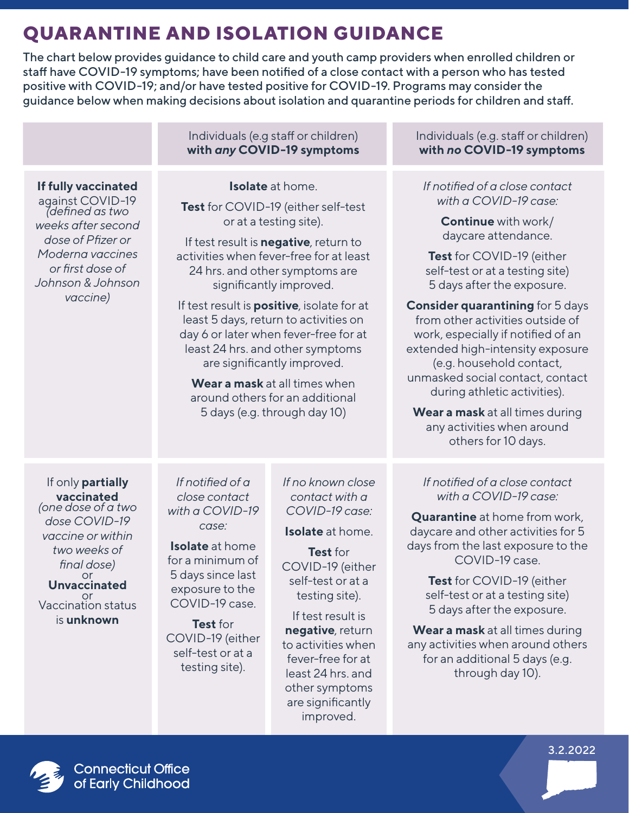# **QUARANTINE AND ISOLATION GUIDANCE**

The chart below provides guidance to child care and youth camp providers when enrolled children or staff have COVID-19 symptoms; have been notified of a close contact with a person who has tested positive with COVID-19; and/or have tested positive for COVID-19. Programs may consider the guidance below when making decisions about isolation and quarantine periods for children and staff.

|                                                                                                                                                                                                   | Individuals (e.g staff or children)<br>with any COVID-19 symptoms                                                                                                                                                                                                                                                                                                                                                                                                                                                                                                |                                                                                                                                                                                                                                                                                                         | Individuals (e.g. staff or children)<br>with no COVID-19 symptoms                                                                                                                                                                                                                                                                                                                                                                                                                                                                                           |
|---------------------------------------------------------------------------------------------------------------------------------------------------------------------------------------------------|------------------------------------------------------------------------------------------------------------------------------------------------------------------------------------------------------------------------------------------------------------------------------------------------------------------------------------------------------------------------------------------------------------------------------------------------------------------------------------------------------------------------------------------------------------------|---------------------------------------------------------------------------------------------------------------------------------------------------------------------------------------------------------------------------------------------------------------------------------------------------------|-------------------------------------------------------------------------------------------------------------------------------------------------------------------------------------------------------------------------------------------------------------------------------------------------------------------------------------------------------------------------------------------------------------------------------------------------------------------------------------------------------------------------------------------------------------|
| If fully vaccinated<br>against COVID-19<br>(defined as two<br>weeks after second<br>dose of Pfizer or<br>Moderna vaccines<br>or first dose of<br>Johnson & Johnson<br>vaccine)                    | <b>Isolate</b> at home.<br>Test for COVID-19 (either self-test<br>or at a testing site).<br>If test result is <b>negative</b> , return to<br>activities when fever-free for at least<br>24 hrs. and other symptoms are<br>significantly improved.<br>If test result is <b>positive</b> , isolate for at<br>least 5 days, return to activities on<br>day 6 or later when fever-free for at<br>least 24 hrs. and other symptoms<br>are significantly improved.<br>Wear a mask at all times when<br>around others for an additional<br>5 days (e.g. through day 10) |                                                                                                                                                                                                                                                                                                         | If notified of a close contact<br>with a COVID-19 case:<br><b>Continue</b> with work/<br>daycare attendance.<br>Test for COVID-19 (either<br>self-test or at a testing site)<br>5 days after the exposure.<br><b>Consider quarantining for 5 days</b><br>from other activities outside of<br>work, especially if notified of an<br>extended high-intensity exposure<br>(e.g. household contact,<br>unmasked social contact, contact<br>during athletic activities).<br>Wear a mask at all times during<br>any activities when around<br>others for 10 days. |
| If only partially<br>vaccinated<br>(one dose of a two<br>dose COVID-19<br>vaccine or within<br>two weeks of<br>final dose)<br>or<br><b>Unvaccinated</b><br>or<br>Vaccination status<br>is unknown | If notified of a<br>close contact<br>with a COVID-19<br>case:<br><b>Isolate</b> at home<br>for a minimum of<br>5 days since last<br>exposure to the<br>COVID-19 case.<br>Test for<br>COVID-19 (either<br>self-test or at a<br>testing site).                                                                                                                                                                                                                                                                                                                     | If no known close<br>contact with a<br>COVID-19 case:<br><b>Isolate</b> at home.<br>Test for<br>COVID-19 (either<br>self-test or at a<br>testing site).<br>If test result is<br>negative, return<br>to activities when<br>fever-free for at<br>least 24 hrs. and<br>other symptoms<br>are significantly | If notified of a close contact<br>with a COVID-19 case:<br><b>Quarantine</b> at home from work,<br>daycare and other activities for 5<br>days from the last exposure to the<br>COVID-19 case.<br>Test for COVID-19 (either<br>self-test or at a testing site)<br>5 days after the exposure.<br>Wear a mask at all times during<br>any activities when around others<br>for an additional 5 days (e.g.<br>through day 10).                                                                                                                                   |

improved.



3.2.2022